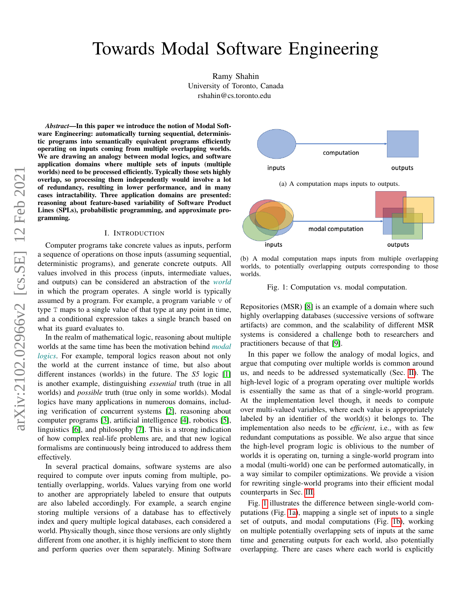# Towards Modal Software Engineering

Ramy Shahin University of Toronto, Canada rshahin@cs.toronto.edu

*Abstract*—In this paper we introduce the notion of Modal Software Engineering: automatically turning sequential, deterministic programs into semantically equivalent programs efficiently operating on inputs coming from multiple overlapping worlds. We are drawing an analogy between modal logics, and software application domains where multiple sets of inputs (multiple worlds) need to be processed efficiently. Typically those sets highly overlap, so processing them independently would involve a lot of redundancy, resulting in lower performance, and in many cases intractability. Three application domains are presented: reasoning about feature-based variability of Software Product Lines (SPLs), probabilistic programming, and approximate programming.

#### I. INTRODUCTION

Computer programs take concrete values as inputs, perform a sequence of operations on those inputs (assuming sequential, deterministic programs), and generate concrete outputs. All values involved in this process (inputs, intermediate values, and outputs) can be considered an abstraction of the *world* in which the program operates. A single world is typically assumed by a program. For example, a program variable  $\nu$  of type T maps to a single value of that type at any point in time, and a conditional expression takes a single branch based on what its guard evaluates to.

In the realm of mathematical logic, reasoning about multiple worlds at the same time has been the motivation behind *modal logics*. For example, temporal logics reason about not only the world at the current instance of time, but also about different instances (worlds) in the future. The *S5* logic [\[1\]](#page-4-0) is another example, distinguishing *essential* truth (true in all worlds) and *possible* truth (true only in some worlds). Modal logics have many applications in numerous domains, including verification of concurrent systems [\[2\]](#page-4-1), reasoning about computer programs [\[3\]](#page-4-2), artificial intelligence [\[4\]](#page-4-3), robotics [\[5\]](#page-4-4), linguistics [\[6\]](#page-4-5), and philosophy [\[7\]](#page-4-6). This is a strong indication of how complex real-life problems are, and that new logical formalisms are continuously being introduced to address them effectively.

In several practical domains, software systems are also required to compute over inputs coming from multiple, potentially overlapping, worlds. Values varying from one world to another are appropriately labeled to ensure that outputs are also labeled accordingly. For example, a search engine storing multiple versions of a database has to effectively index and query multiple logical databases, each considered a world. Physically though, since those versions are only slightly different from one another, it is highly inefficient to store them and perform queries over them separately. Mining Software

<span id="page-0-0"></span>

(b) A modal computation maps inputs from multiple overlapping worlds, to potentially overlapping outputs corresponding to those worlds.

Fig. 1: Computation vs. modal computation.

Repositories (MSR) [\[8\]](#page-4-7) is an example of a domain where such highly overlapping databases (successive versions of software artifacts) are common, and the scalability of different MSR systems is considered a challenge both to researchers and practitioners because of that [\[9\]](#page-4-8).

In this paper we follow the analogy of modal logics, and argue that computing over multiple worlds is common around us, and needs to be addressed systematically (Sec. [II\)](#page-1-0). The high-level logic of a program operating over multiple worlds is essentially the same as that of a single-world program. At the implementation level though, it needs to compute over multi-valued variables, where each value is appropriately labeled by an identifier of the world(s) it belongs to. The implementation also needs to be *efficient*, i.e., with as few redundant computations as possible. We also argue that since the high-level program logic is oblivious to the number of worlds it is operating on, turning a single-world program into a modal (multi-world) one can be performed automatically, in a way similar to compiler optimizations. We provide a vision for rewriting single-world programs into their efficient modal counterparts in Sec. [III.](#page-1-1)

Fig. [1](#page-0-0) illustrates the difference between single-world computations (Fig. [1a\)](#page-0-0), mapping a single set of inputs to a single set of outputs, and modal computations (Fig. [1b\)](#page-0-0), working on multiple potentially overlapping sets of inputs at the same time and generating outputs for each world, also potentially overlapping. There are cases where each world is explicitly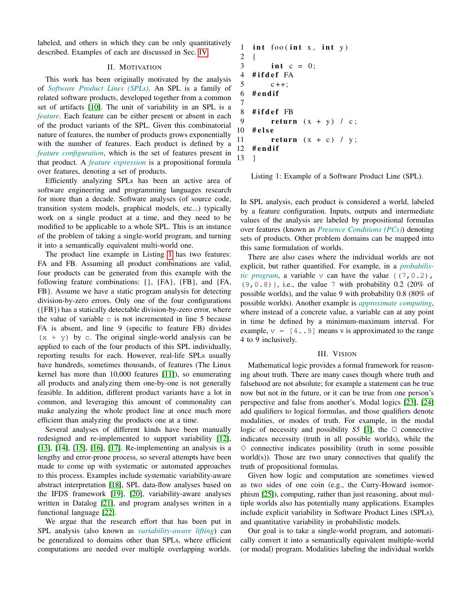labeled, and others in which they can be only quantitatively described. Examples of each are discussed in Sec. [IV.](#page-3-0)

## II. MOTIVATION

<span id="page-1-0"></span>This work has been originally motivated by the analysis of *Software Product Lines (SPLs)*. An SPL is a family of related software products, developed together from a common set of artifacts [\[10\]](#page-4-9). The unit of variability in an SPL is a *feature*. Each feature can be either present or absent in each of the product variants of the SPL. Given this combinatorial nature of features, the number of products grows exponentially with the number of features. Each product is defined by a *feature configuration*, which is the set of features present in that product. A *feature expression* is a propositional formula over features, denoting a set of products.

Efficiently analyzing SPLs has been an active area of software engineering and programming languages research for more than a decade. Software analyses (of source code, transition system models, graphical models, etc...) typically work on a single product at a time, and they need to be modified to be applicable to a whole SPL. This is an instance of the problem of taking a single-world program, and turning it into a semantically equivalent multi-world one.

The product line example in Listing [1](#page-1-2) has two features: FA and FB. Assuming all product combinations are valid, four products can be generated from this example with the following feature combinations: {}, {FA}, {FB}, and {FA, FB}. Assume we have a static program analysis for detecting division-by-zero errors. Only one of the four configurations ({FB}) has a statically detectable division-by-zero error, where the value of variable  $\sigma$  is not incremented in line 5 because FA is absent, and line 9 (specific to feature FB) divides  $(x + y)$  by c. The original single-world analysis can be applied to each of the four products of this SPL individually, reporting results for each. However, real-life SPLs usually have hundreds, sometimes thousands, of features (The Linux kernel has more than 10,000 features [\[11\]](#page-4-10)), so enumerating all products and analyzing them one-by-one is not generally feasible. In addition, different product variants have a lot in common, and leveraging this amount of commonality can make analyzing the whole product line at once much more efficient than analyzing the products one at a time.

Several analyses of different kinds have been manually redesigned and re-implemented to support variability [\[12\]](#page-4-11), [\[13\]](#page-4-12), [\[14\]](#page-4-13), [\[15\]](#page-4-14), [\[16\]](#page-4-15), [\[17\]](#page-4-16). Re-implementing an analysis is a lengthy and error-prone process, so several attempts have been made to come up with systematic or automated approaches to this process. Examples include systematic variability-aware abstract interpretation [\[18\]](#page-4-17), SPL data-flow analyses based on the IFDS framework [\[19\]](#page-4-18), [\[20\]](#page-4-19), variability-aware analyses written in Datalog [\[21\]](#page-4-20), and program analyses written in a functional language [\[22\]](#page-4-21).

We argue that the research effort that has been put in SPL analysis (also known as *variability-aware lifting*) can be generalized to domains other than SPLs, where efficient computations are needed over multiple overlapping worlds.

```
1 int foo (int x, int y)
2 {
3 int c = 0;
4 #ifdef FA
5 c + +;
6 #endif
7
8 #ifdef FB
9 return (x + y) / c;
10 # e l s e
11 return (x + c) / y;12 #endif
13 }
```
Listing 1: Example of a Software Product Line (SPL).

In SPL analysis, each product is considered a world, labeled by a feature configuration. Inputs, outputs and intermediate values of the analysis are labeled by propositional formulas over features (known as *Presence Conditions (PCs)*) denoting sets of products. Other problem domains can be mapped into this same formulation of worlds.

There are also cases where the individual worlds are not explicit, but rather quantified. For example, in a *probabilistic program*, a variable  $\vee$  can have the value  $\{(7, 0.2),\}$  $(9, 0.8)$ , i.e., the value 7 with probability 0.2 (20% of possible worlds), and the value 9 with probability 0.8 (80% of possible worlds). Another example is *approximate computing*, where instead of a concrete value, a variable can at any point in time be defined by a minimum-maximum interval. For example,  $v = [4, .9]$  means v is approximated to the range 4 to 9 inclusively.

#### III. VISION

<span id="page-1-1"></span>Mathematical logic provides a formal framework for reasoning about truth. There are many cases though where truth and falsehood are not absolute; for example a statement can be true now but not in the future, or it can be true from one person's perspective and false from another's. Modal logics [\[23\]](#page-4-22), [\[24\]](#page-4-23) add qualifiers to logical formulas, and those qualifiers denote modalities, or modes of truth. For example, in the modal logic of necessity and possibility *S5* [\[1\]](#page-4-0), the  $\Box$  connective indicates necessity (truth in all possible worlds), while the  $\diamond$  connective indicates possibility (truth in some possible world $(s)$ ). Those are two unary connectives that qualify the truth of propositional formulas.

Given how logic and computation are sometimes viewed as two sides of one coin (e.g., the Curry-Howard isomorphism [\[25\]](#page-4-24)), computing, rather than just reasoning, about multiple worlds also has potentially many applications. Examples include explicit variability in Software Product Lines (SPLs), and quantitative variability in probabilistic models.

Our goal is to take a single-world program, and automatically convert it into a semantically equivalent multiple-world (or modal) program. Modalities labeling the individual worlds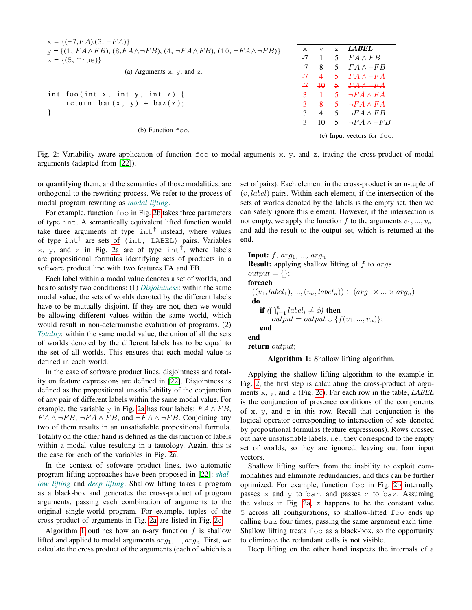<span id="page-2-0"></span>

| $x = {(-7, FA), (3, \neg FA)}$                                                                              |                                         |                |                |                            |
|-------------------------------------------------------------------------------------------------------------|-----------------------------------------|----------------|----------------|----------------------------|
| $y = \{(1, F_A \wedge FB), (8, FA \wedge \neg FB), (4, \neg FA \wedge FB), (10, \neg FA \wedge \neg FB)\}\$ | Х                                       | V              | Z.             | <b>LABEL</b>               |
| $z = \{(5, True)\}\$                                                                                        | $-7$                                    |                | 5.             | $FA \wedge FB$             |
| (a) Arguments $x, y$ , and $z$ .                                                                            |                                         | 8              | 5              | $FA \wedge \neg FB$        |
|                                                                                                             |                                         | $\overline{4}$ | $\mathfrak{S}$ | $FA \rightarrow FA$        |
|                                                                                                             |                                         | $-7$ $+0$      | $5 -$          | $F A \wedge \neg F A$      |
| int foo(int x, int y, int z) {                                                                              |                                         | $\pm$          |                |                            |
| return bar $(x, y) + baz(z)$ ;                                                                              |                                         | $\mathbf{R}$   | $5 -$          | $\rightarrow$ FAAFA        |
|                                                                                                             | 3                                       | $\overline{4}$ |                | 5 $\neg FA \wedge FB$      |
|                                                                                                             |                                         | 10             |                | 5 $\neg FA \wedge \neg FB$ |
| (b) Function $f \circ \circ$ .                                                                              | (c) Input vectors for $f \circ \circ$ . |                |                |                            |

Fig. 2: Variability-aware application of function  $f \circ \circ f$  to modal arguments x, y, and z, tracing the cross-product of modal arguments (adapted from [\[22\]](#page-4-21)).

or quantifying them, and the semantics of those modalities, are orthogonal to the rewriting process. We refer to the process of modal program rewriting as *modal lifting*.

For example, function foo in Fig. [2b](#page-2-0) takes three parameters of type int. A semantically equivalent lifted function would take three arguments of type  $int^{\uparrow}$  instead, where values of type int<sup>↑</sup> are sets of (int, LABEL) pairs. Variables x, y, and z in Fig. [2a](#page-2-0) are of type int<sup>†</sup>, where labels are propositional formulas identifying sets of products in a software product line with two features FA and FB.

Each label within a modal value denotes a set of worlds, and has to satisfy two conditions: (1) *Disjointness*: within the same modal value, the sets of worlds denoted by the different labels have to be mutually disjoint. If they are not, then we would be allowing different values within the same world, which would result in non-deterministic evaluation of programs. (2) *Totality*: within the same modal value, the union of all the sets of worlds denoted by the different labels has to be equal to the set of all worlds. This ensures that each modal value is defined in each world.

In the case of software product lines, disjointness and totality on feature expressions are defined in [\[22\]](#page-4-21). Disjointness is defined as the propositional unsatisfiability of the conjunction of any pair of different labels within the same modal value. For example, the variable y in Fig. [2a](#page-2-0) has four labels:  $FA \wedge FB$ ,  $FA \wedge \neg FB$ ,  $\neg FA \wedge FB$ , and  $\neg FA \wedge \neg FB$ . Conjoining any two of them results in an unsatisfiable propositional formula. Totality on the other hand is defined as the disjunction of labels within a modal value resulting in a tautology. Again, this is the case for each of the variables in Fig. [2a.](#page-2-0)

In the context of software product lines, two automatic program lifting approaches have been proposed in [\[22\]](#page-4-21): *shallow lifting* and *deep lifting*. Shallow lifting takes a program as a black-box and generates the cross-product of program arguments, passing each combination of arguments to the original single-world program. For example, tuples of the cross-product of arguments in Fig. [2a](#page-2-0) are listed in Fig. [2c.](#page-2-0)

Algorithm [1](#page-2-1) outlines how an n-ary function  $f$  is shallow lifted and applied to modal arguments  $arg_1, ..., arg_n$ . First, we calculate the cross product of the arguments (each of which is a

set of pairs). Each element in the cross-product is an n-tuple of  $(v, label)$  pairs. Within each element, if the intersection of the sets of worlds denoted by the labels is the empty set, then we can safely ignore this element. However, if the intersection is not empty, we apply the function f to the arguments  $v_1, ..., v_n$ . and add the result to the output set, which is returned at the end.

**Input:**  $f$ ,  $arg_1$ , ...,  $arg_n$ **Result:** applying shallow lifting of  $f$  to  $args$  $output = \{\};$ foreach  $((v_1, label_1), ..., (v_n, label_n)) \in (arg_1 \times ... \times arg_n)$ do if  $(\bigcap_{i=1}^n label_i \neq \phi)$  then  $output = output \cup \{f(v_1, ..., v_n)\};$ end end return output;

<span id="page-2-1"></span>Algorithm 1: Shallow lifting algorithm.

Applying the shallow lifting algorithm to the example in Fig. [2,](#page-2-0) the first step is calculating the cross-product of arguments x, y, and z (Fig. [2c\)](#page-2-0). For each row in the table, *LABEL* is the conjunction of presence conditions of the components of x, y, and z in this row. Recall that conjunction is the logical operator corresponding to intersection of sets denoted by propositional formulas (feature expressions). Rows crossed out have unsatisfiable labels, i.e., they correspond to the empty set of worlds, so they are ignored, leaving out four input vectors.

Shallow lifting suffers from the inability to exploit commonalities and eliminate redundancies, and thus can be further optimized. For example, function foo in Fig. [2b](#page-2-0) internally passes x and y to bar, and passes z to baz. Assuming the values in Fig. [2a,](#page-2-0) z happens to be the constant value 5 across all configurations, so shallow-lifted foo ends up calling baz four times, passing the same argument each time. Shallow lifting treats foo as a black-box, so the opportunity to eliminate the redundant calls is not visible.

Deep lifting on the other hand inspects the internals of a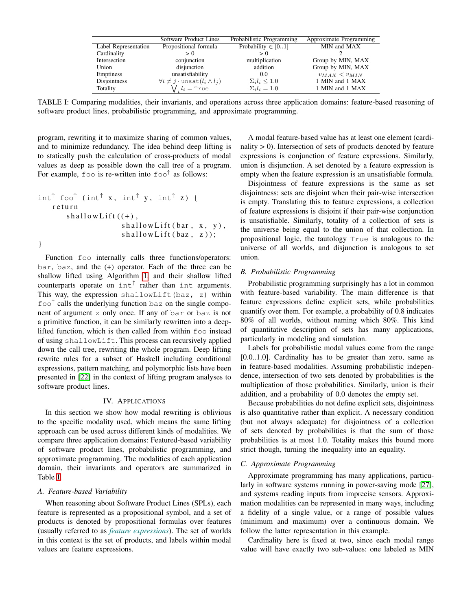<span id="page-3-1"></span>

|                      | Software Product Lines                                | Probabilistic Programming | Approximate Programming |
|----------------------|-------------------------------------------------------|---------------------------|-------------------------|
| Label Representation | Propositional formula                                 | Probability $\in [01]$    | MIN and MAX             |
| Cardinality          | > 0                                                   | > 0                       |                         |
| Intersection         | conjunction                                           | multiplication            | Group by MIN, MAX       |
| Union                | disjunction                                           | addition                  | Group by MIN, MAX       |
| Emptiness            | unsatisfiability                                      | 0.0                       | $v_{MAX}$ $< v_{MIN}$   |
| Disjointness         | $\forall i \neq j \cdot \text{unsat}(l_i \wedge l_j)$ | $\Sigma_i l_i \leq 1.0$   | 1 MIN and 1 MAX         |
| Totality             | $\bigvee_{i} l_i = \texttt{True}$                     | $\Sigma_i l_i = 1.0$      | 1 MIN and 1 MAX         |

TABLE I: Comparing modalities, their invariants, and operations across three application domains: feature-based reasoning of software product lines, probabilistic programming, and approximate programming.

program, rewriting it to maximize sharing of common values, and to minimize redundancy. The idea behind deep lifting is to statically push the calculation of cross-products of modal values as deep as possible down the call tree of a program. For example,  $f \circ \circ$  is re-written into  $f \circ \circ \circ f$  as follows:

```
int^{\uparrow} foo<sup>†</sup> (int<sup>†</sup> x, int<sup>†</sup> y, int<sup>†</sup> z) {
     r e t u r n
         shallowLift((+),
                             shallowLift(bar, x, y),
                             shallowLift(baz, z));}
```
Function foo internally calls three functions/operators: bar, baz, and the (+) operator. Each of the three can be shallow lifted using Algorithm [1,](#page-2-1) and their shallow lifted counterparts operate on  $int^{\uparrow}$  rather than int arguments. This way, the expression shallowLift(baz, z) within foo<sup>↑</sup> calls the underlying function baz on the single component of argument z only once. If any of bar or baz is not a primitive function, it can be similarly rewritten into a deeplifted function, which is then called from within foo instead of using shallowLift. This process can recursively applied down the call tree, rewriting the whole program. Deep lifting rewrite rules for a subset of Haskell including conditional expressions, pattern matching, and polymorphic lists have been presented in [\[22\]](#page-4-21) in the context of lifting program analyses to software product lines.

## IV. APPLICATIONS

<span id="page-3-0"></span>In this section we show how modal rewriting is oblivious to the specific modality used, which means the same lifting approach can be used across different kinds of modalities. We compare three application domains: Featured-based variability of software product lines, probabilistic programming, and approximate programming. The modalities of each application domain, their invariants and operators are summarized in Table [I.](#page-3-1)

#### *A. Feature-based Variability*

When reasoning about Software Product Lines (SPLs), each feature is represented as a propositional symbol, and a set of products is denoted by propositional formulas over features (usually referred to as *feature expressions*). The set of worlds in this context is the set of products, and labels within modal values are feature expressions.

A modal feature-based value has at least one element (cardinality  $> 0$ ). Intersection of sets of products denoted by feature expressions is conjunction of feature expressions. Similarly, union is disjunction. A set denoted by a feature expression is empty when the feature expression is an unsatisfiable formula.

Disjointness of feature expressions is the same as set disjointness: sets are disjoint when their pair-wise intersection is empty. Translating this to feature expressions, a collection of feature expressions is disjoint if their pair-wise conjunction is unsatisfiable. Similarly, totality of a collection of sets is the universe being equal to the union of that collection. In propositional logic, the tautology True is analogous to the universe of all worlds, and disjunction is analogous to set union.

## *B. Probabilistic Programming*

Probabilistic programming surprisingly has a lot in common with feature-based variability. The main difference is that feature expressions define explicit sets, while probabilities quantify over them. For example, a probability of 0.8 indicates 80% of all worlds, without naming which 80%. This kind of quantitative description of sets has many applications, particularly in modeling and simulation.

Labels for probabilistic modal values come from the range [0.0..1.0]. Cardinality has to be greater than zero, same as in feature-based modalities. Assuming probabilistic independence, intersection of two sets denoted by probabilities is the multiplication of those probabilities. Similarly, union is their addition, and a probability of 0.0 denotes the empty set.

Because probabilities do not define explicit sets, disjointness is also quantitative rather than explicit. A necessary condition (but not always adequate) for disjointness of a collection of sets denoted by probabilities is that the sum of those probabilities is at most 1.0. Totality makes this bound more strict though, turning the inequality into an equality.

## *C. Approximate Programming*

Approximate programming has many applications, particularly in software systems running in power-saving mode [\[27\]](#page-4-25), and systems reading inputs from imprecise sensors. Approximation modalities can be represented in many ways, including a fidelity of a single value, or a range of possible values (minimum and maximum) over a continuous domain. We follow the latter representation in this example.

Cardinality here is fixed at two, since each modal range value will have exactly two sub-values: one labeled as MIN